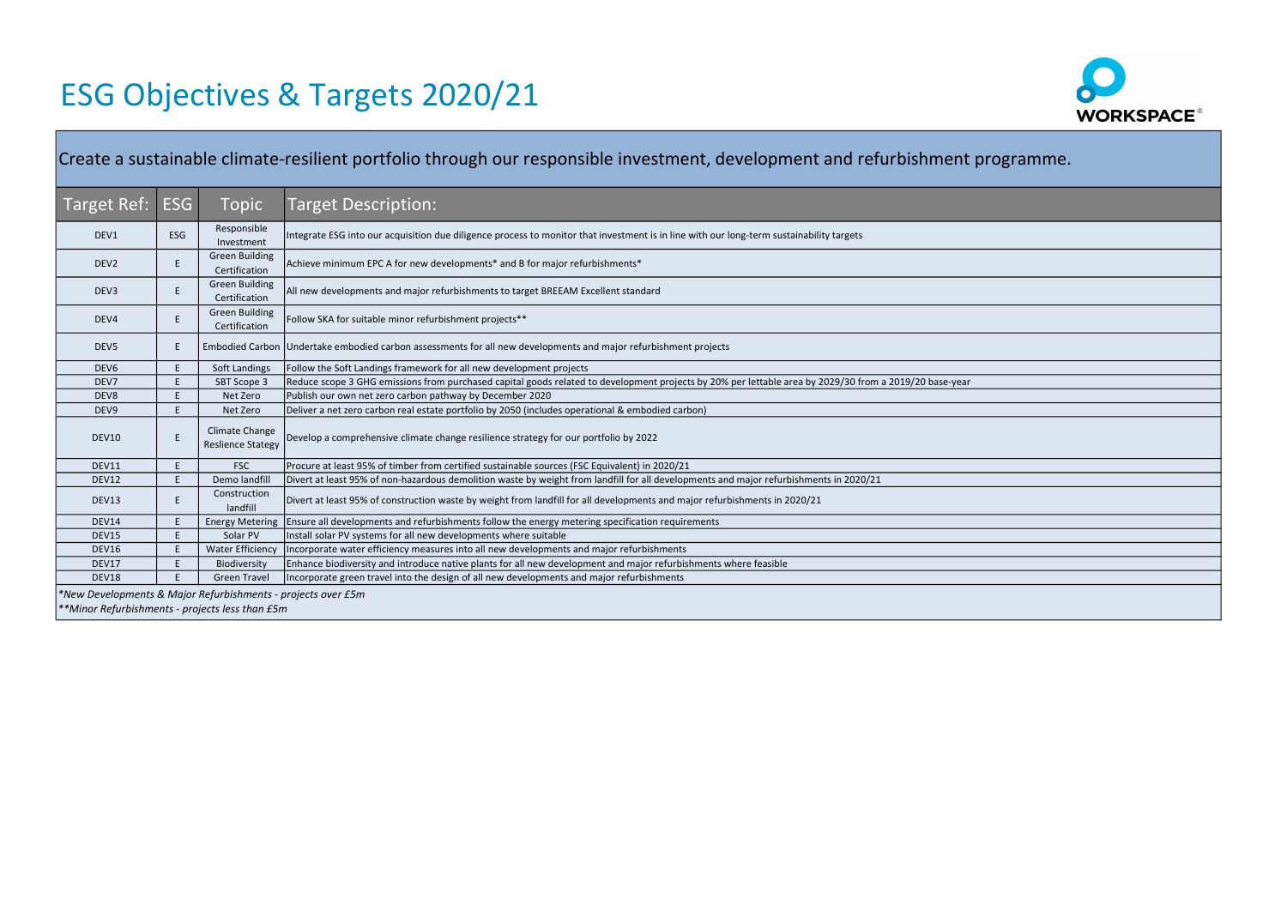| Create a sustainable climate-resilient portfolio through our responsible investment, development and refurbishment programme. |            |                                                   |                                                                                                                                                        |  |  |
|-------------------------------------------------------------------------------------------------------------------------------|------------|---------------------------------------------------|--------------------------------------------------------------------------------------------------------------------------------------------------------|--|--|
| Target Ref:                                                                                                                   | <b>ESG</b> | Topic                                             | <b>Target Description:</b>                                                                                                                             |  |  |
| DEV1                                                                                                                          | <b>ESG</b> | Responsible<br>Investment                         | Integrate ESG into our acquisition due diligence process to monitor that investment is in line with our long-term sustainability targets               |  |  |
| DEV <sub>2</sub>                                                                                                              | E.         | <b>Green Building</b><br>Certification            | Achieve minimum EPC A for new developments* and B for major refurbishments*                                                                            |  |  |
| DEV3                                                                                                                          | E          | <b>Green Building</b><br>Certification            | All new developments and major refurbishments to target BREEAM Excellent standard                                                                      |  |  |
| DEV4                                                                                                                          | E          | <b>Green Building</b><br>Certification            | Follow SKA for suitable minor refurbishment projects**                                                                                                 |  |  |
| DEV <sub>5</sub>                                                                                                              | E.         |                                                   | Embodied Carbon Undertake embodied carbon assessments for all new developments and major refurbishment projects                                        |  |  |
| DEV <sub>6</sub>                                                                                                              | E.         | Soft Landings                                     | Follow the Soft Landings framework for all new development projects                                                                                    |  |  |
| DEV7                                                                                                                          | E          | SBT Scope 3                                       | Reduce scope 3 GHG emissions from purchased capital goods related to development projects by 20% per lettable area by 2029/30 from a 2019/20 base-year |  |  |
| DEV8                                                                                                                          | E          | Net Zero                                          | Publish our own net zero carbon pathway by December 2020                                                                                               |  |  |
| DEV9                                                                                                                          | E.         | Net Zero                                          | Deliver a net zero carbon real estate portfolio by 2050 (includes operational & embodied carbon)                                                       |  |  |
| <b>DEV10</b>                                                                                                                  | E          | <b>Climate Change</b><br><b>Reslience Stategy</b> | Develop a comprehensive climate change resilience strategy for our portfolio by 2022                                                                   |  |  |
| DEV11                                                                                                                         | E.         | <b>FSC</b>                                        | Procure at least 95% of timber from certified sustainable sources (FSC Equivalent) in 2020/21                                                          |  |  |
| DEV12                                                                                                                         | E          | Demo landfill                                     | Divert at least 95% of non-hazardous demolition waste by weight from landfill for all developments and major refurbishments in 2020/21                 |  |  |
| DEV13                                                                                                                         | E.         | Construction<br>landfill                          | Divert at least 95% of construction waste by weight from landfill for all developments and major refurbishments in 2020/21                             |  |  |
| DEV14                                                                                                                         | E          | <b>Energy Metering</b>                            | Ensure all developments and refurbishments follow the energy metering specification requirements                                                       |  |  |
| DEV15                                                                                                                         | E          | Solar PV                                          | Install solar PV systems for all new developments where suitable                                                                                       |  |  |
| DEV16                                                                                                                         | E.         | <b>Water Efficiency</b>                           | Incorporate water efficiency measures into all new developments and major refurbishments                                                               |  |  |
| DEV17                                                                                                                         | E          | Biodiversity                                      | Enhance biodiversity and introduce native plants for all new development and major refurbishments where feasible                                       |  |  |
| DEV18                                                                                                                         |            | <b>Green Travel</b>                               | Incorporate green travel into the design of all new developments and major refurbishments                                                              |  |  |
| *New Developments & Major Refurbishments - projects over £5m                                                                  |            |                                                   |                                                                                                                                                        |  |  |
| **Minor Refurbishments - projects less than £5m                                                                               |            |                                                   |                                                                                                                                                        |  |  |



| programme. |
|------------|
|            |
|            |
|            |
|            |
|            |
|            |
|            |
|            |
|            |
|            |
|            |
|            |
|            |
|            |
|            |
|            |
|            |
|            |
|            |
|            |

## ESG Objectives & Targets 2020/21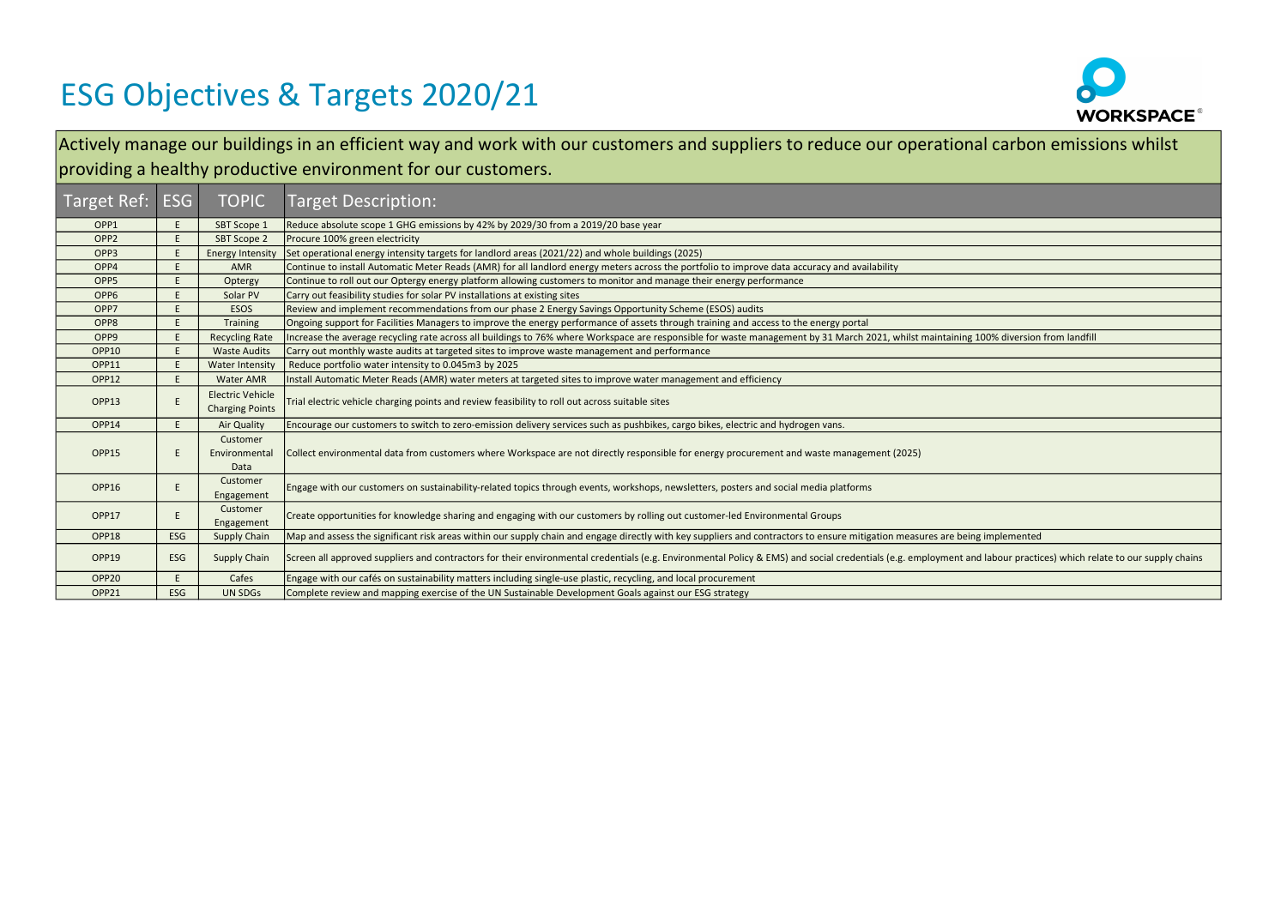## ESG Objectives & Targets 2020/21

| Target Ref:       | <b>ESG</b> | <b>TOPIC</b>                                      | <b>Target Description:</b>                                                                                                                                                                                          |
|-------------------|------------|---------------------------------------------------|---------------------------------------------------------------------------------------------------------------------------------------------------------------------------------------------------------------------|
| OPP1              | E.         | SBT Scope 1                                       | Reduce absolute scope 1 GHG emissions by 42% by 2029/30 from a 2019/20 base year                                                                                                                                    |
| OPP <sub>2</sub>  |            | <b>SBT Scope 2</b>                                | Procure 100% green electricity                                                                                                                                                                                      |
| OPP3              |            | <b>Energy Intensity</b>                           | Set operational energy intensity targets for landlord areas (2021/22) and whole buildings (2025)                                                                                                                    |
| OPP4              |            | AMR                                               | Continue to install Automatic Meter Reads (AMR) for all landlord energy meters across the portfolio to improve data accuracy and availability                                                                       |
| OPP <sub>5</sub>  |            | Optergy                                           | Continue to roll out our Optergy energy platform allowing customers to monitor and manage their energy performance                                                                                                  |
| OPP <sub>6</sub>  |            | Solar PV                                          | Carry out feasibility studies for solar PV installations at existing sites                                                                                                                                          |
| OPP7              |            | <b>ESOS</b>                                       | Review and implement recommendations from our phase 2 Energy Savings Opportunity Scheme (ESOS) audits                                                                                                               |
| OPP8              |            | <b>Training</b>                                   | Ongoing support for Facilities Managers to improve the energy performance of assets through training and access to the energy portal                                                                                |
| OPP <sub>9</sub>  |            | <b>Recycling Rate</b>                             | Increase the average recycling rate across all buildings to 76% where Workspace are responsible for waste management by 31 March 2021, whilst maintaining 100% diversion from landfill                              |
| OPP10             |            | <b>Waste Audits</b>                               | Carry out monthly waste audits at targeted sites to improve waste management and performance                                                                                                                        |
| OPP11             |            | <b>Water Intensity</b>                            | Reduce portfolio water intensity to 0.045m3 by 2025                                                                                                                                                                 |
| OPP12             |            | Water AMR                                         | Install Automatic Meter Reads (AMR) water meters at targeted sites to improve water management and efficiency                                                                                                       |
| OPP13             |            | <b>Electric Vehicle</b><br><b>Charging Points</b> | Trial electric vehicle charging points and review feasibility to roll out across suitable sites                                                                                                                     |
| OPP14             |            | <b>Air Quality</b>                                | Encourage our customers to switch to zero-emission delivery services such as pushbikes, cargo bikes, electric and hydrogen vans.                                                                                    |
| OPP15             |            | Customer<br>Environmental<br>Data                 | Collect environmental data from customers where Workspace are not directly responsible for energy procurement and waste management (2025)                                                                           |
| OPP16             |            | Customer<br>Engagement                            | Engage with our customers on sustainability-related topics through events, workshops, newsletters, posters and social media platforms                                                                               |
| OPP17             |            | Customer<br>Engagement                            | Create opportunities for knowledge sharing and engaging with our customers by rolling out customer-led Environmental Groups                                                                                         |
| OPP18             | <b>ESG</b> | <b>Supply Chain</b>                               | Map and assess the significant risk areas within our supply chain and engage directly with key suppliers and contractors to ensure mitigation measures are being implemented                                        |
| OPP19             | <b>ESG</b> | <b>Supply Chain</b>                               | Screen all approved suppliers and contractors for their environmental credentials (e.g. Environmental Policy & EMS) and social credentials (e.g. employment and labour practices) which relate to our supply chains |
| OPP <sub>20</sub> |            | Cafes                                             | Engage with our cafés on sustainability matters including single-use plastic, recycling, and local procurement                                                                                                      |
| OPP21             | <b>ESG</b> | <b>UN SDGs</b>                                    | Complete review and mapping exercise of the UN Sustainable Development Goals against our ESG strategy                                                                                                               |



| al carbon emissions whilst                             |
|--------------------------------------------------------|
|                                                        |
|                                                        |
|                                                        |
|                                                        |
|                                                        |
|                                                        |
|                                                        |
|                                                        |
| 100% diversion from landfill                           |
|                                                        |
|                                                        |
|                                                        |
|                                                        |
|                                                        |
|                                                        |
|                                                        |
|                                                        |
| ng implemented                                         |
| nd labour practices) which relate to our supply chains |
|                                                        |

Actively manage our buildings in an efficient way and work with our customers and suppliers to reduce our operation providing a healthy productive environment for our customers.